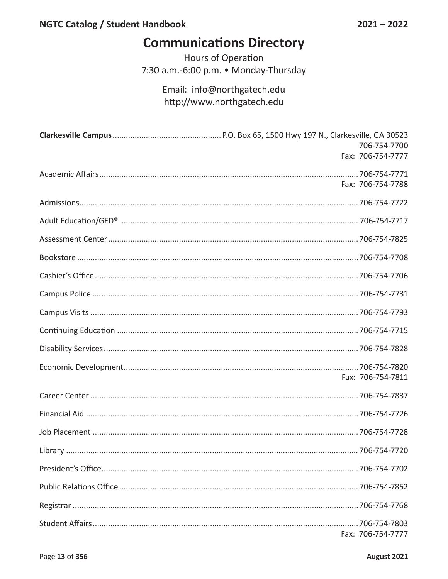## **Communications Directory**

Hours of Operation 7:30 a.m.-6:00 p.m. • Monday-Thursday

> Email: info@northgatech.edu http://www.northgatech.edu

| 706-754-7700      |
|-------------------|
| Fax: 706-754-7777 |
|                   |
| Fax: 706-754-7788 |
|                   |
|                   |
|                   |
|                   |
|                   |
|                   |
|                   |
|                   |
|                   |
| Fax: 706-754-7811 |
|                   |
|                   |
|                   |
|                   |
|                   |
|                   |
|                   |
| Fax: 706-754-7777 |